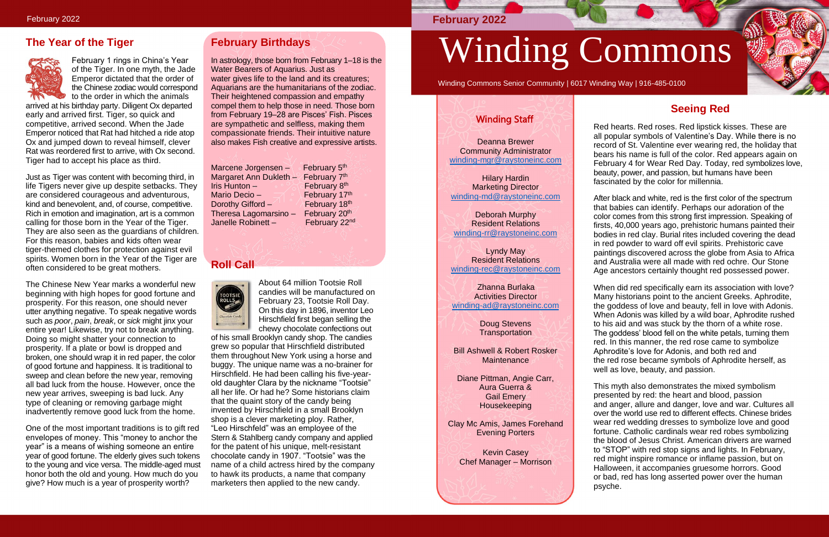# **The Year of the Tiger**



February 1 rings in China's Year of the Tiger. In one myth, the Jade Emperor dictated that the order of the Chinese zodiac would correspond to the order in which the animals

arrived at his birthday party. Diligent Ox departed early and arrived first. Tiger, so quick and competitive, arrived second. When the Jade Emperor noticed that Rat had hitched a ride atop Ox and jumped down to reveal himself, clever Rat was reordered first to arrive, with Ox second. Tiger had to accept his place as third.

Just as Tiger was content with becoming third, in life Tigers never give up despite setbacks. They are considered courageous and adventurous, kind and benevolent, and, of course, competitive. Rich in emotion and imagination, art is a common calling for those born in the Year of the Tiger. They are also seen as the guardians of children. For this reason, babies and kids often wear tiger-themed clothes for protection against evil spirits. Women born in the Year of the Tiger are often considered to be great mothers.

The Chinese New Year marks a wonderful new beginning with high hopes for good fortune and prosperity. For this reason, one should never utter anything negative. To speak negative words such as *poor*, *pain*, *break*, or *sick* might jinx your entire year! Likewise, try not to break anything. Doing so might shatter your connection to prosperity. If a plate or bowl is dropped and broken, one should wrap it in red paper, the color of good fortune and happiness. It is traditional to sweep and clean before the new year, removing all bad luck from the house. However, once the new year arrives, sweeping is bad luck. Any type of cleaning or removing garbage might inadvertently remove good luck from the home.

One of the most important traditions is to gift red envelopes of money. This "money to anchor the year" is a means of wishing someone an entire year of good fortune. The elderly gives such tokens to the young and vice versa. The middle-aged must honor both the old and young. How much do you give? How much is a year of prosperity worth?

# **February Birthdays**

In astrology, those born from February 1–18 is the Water Bearers of Aquarius. Just as water gives life to the land and its creatures; Aquarians are the humanitarians of the zodiac. Their heightened compassion and empathy compel them to help those in need. Those born from February 19–28 are Pisces' Fish. Pisces are sympathetic and selfless, making them compassionate friends. Their intuitive nature also makes Fish creative and expressive artists.

Marcene Jorgensen – Margaret Ann Dukleth - February 7<sup>th</sup> Iris Hunton  $-$ Mario Decio – February 17<sup>th</sup><br>Dorothy Gifford – February 18<sup>th</sup> Dorothy Gifford – February 18<sup>th</sup><br>Theresa Lagomarsino – February 20<sup>th</sup> Theresa Lagomarsino – Janelle Robinett -

February 5<sup>th</sup> February 8<sup>th</sup> February 22nd

# **Roll Call**



About 64 million Tootsie Roll candies will be manufactured on February 23, Tootsie Roll Day. On this day in 1896, inventor Leo Hirschfield first began selling the chewy chocolate confections out

Doug Stevens **Transportation** 

Bill Ashwell & Robert Rosker **Maintenance** 

of his small Brooklyn candy shop. The candies grew so popular that Hirschfield distributed them throughout New York using a horse and buggy. The unique name was a no-brainer for Hirschfield. He had been calling his five-yearold daughter Clara by the nickname "Tootsie" all her life. Or had he? Some historians claim that the quaint story of the candy being invented by Hirschfield in a small Brooklyn shop is a clever marketing ploy. Rather, "Leo Hirschfeld" was an employee of the Stern & Stahlberg candy company and applied for the patent of his unique, melt-resistant chocolate candy in 1907. "Tootsie" was the name of a child actress hired by the company to hawk its products, a name that company marketers then applied to the new candy.

# Winding Commons

Winding Commons Senior Community | 6017 Winding Way | 916-485-0100

# **Seeing Red**

Red hearts. Red roses. Red lipstick kisses. These are all popular symbols of Valentine's Day. While there is no record of St. Valentine ever wearing red, the holiday that bears his name is full of the color. Red appears again on February 4 for Wear Red Day. Today, red symbolizes love, beauty, power, and passion, but humans have been fascinated by the color for millennia.

After black and white, red is the first color of the spectrum that babies can identify. Perhaps our adoration of the color comes from this strong first impression. Speaking of firsts, 40,000 years ago, prehistoric humans painted their bodies in red clay. Burial rites included covering the dead in red powder to ward off evil spirits. Prehistoric cave paintings discovered across the globe from Asia to Africa and Australia were all made with red ochre. Our Stone Age ancestors certainly thought red possessed power.

When did red specifically earn its association with love? Many historians point to the ancient Greeks. Aphrodite, the goddess of love and beauty, fell in love with Adonis. When Adonis was killed by a wild boar, Aphrodite rushed to his aid and was stuck by the thorn of a white rose. The goddess' blood fell on the white petals, turning them red. In this manner, the red rose came to symbolize Aphrodite's love for Adonis, and both red and the red rose became symbols of Aphrodite herself, as well as love, beauty, and passion.

This myth also demonstrates the mixed symbolism presented by red: the heart and blood, passion and anger, allure and danger, love and war. Cultures all over the world use red to different effects. Chinese brides wear red wedding dresses to symbolize love and good fortune. Catholic cardinals wear red robes symbolizing the blood of Jesus Christ. American drivers are warned to "STOP" with red stop signs and lights. In February, red might inspire romance or inflame passion, but on Halloween, it accompanies gruesome horrors. Good or bad, red has long asserted power over the human psyche.



# **February 2022**

# Winding Staff

Deanna Brewer Community Administrator [winding-mgr@raystoneinc.com](mailto:winding-mgr@raystoneinc.com) 

Hilary Hardin **Marketing Director** [winding-md@raystoneinc.com](mailto:winding-md@raystoneinc.com)

Deborah Murphy Resident Relations [winding-rr@raystoneinc.com](mailto:winding-rr@raystoneinc.com)

Lyndy May Resident Relations [winding-rec@raystoneinc.com](mailto:winding-rec@raystoneinc.com)

 Zhanna Burlaka Activities Director [winding-ad@raystoneinc.com](mailto:winding-ad@raystoneinc.com)

Diane Pittman, Angie Carr, Aura Guerra & Gail Emery Housekeeping

Clay Mc Amis, James Forehand Evening Porters

Kevin Casey Chef Manager – Morrison